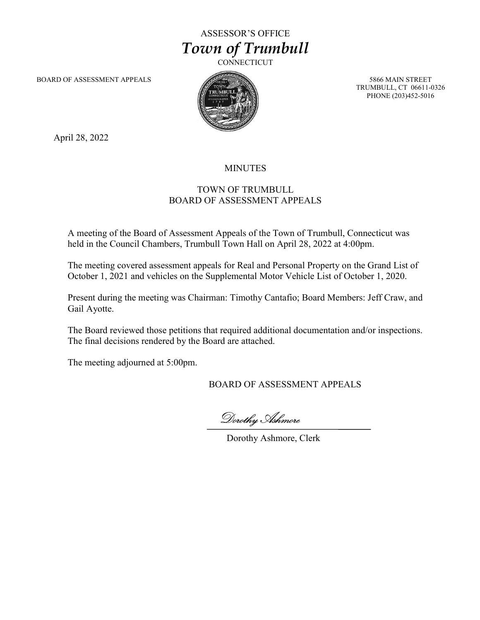ASSESSOR'S OFFICE Town of Trumbull

**CONNECTICUT** 

BOARD OF ASSESSMENT APPEALS 5866 MAIN STREET



TRUMBULL, CT 06611-0326 PHONE (203)452-5016

April 28, 2022

## MINUTES

## TOWN OF TRUMBULL BOARD OF ASSESSMENT APPEALS

A meeting of the Board of Assessment Appeals of the Town of Trumbull, Connecticut was held in the Council Chambers, Trumbull Town Hall on April 28, 2022 at 4:00pm.

The meeting covered assessment appeals for Real and Personal Property on the Grand List of October 1, 2021 and vehicles on the Supplemental Motor Vehicle List of October 1, 2020.

Present during the meeting was Chairman: Timothy Cantafio; Board Members: Jeff Craw, and Gail Ayotte.

The Board reviewed those petitions that required additional documentation and/or inspections. The final decisions rendered by the Board are attached.

The meeting adjourned at 5:00pm.

BOARD OF ASSESSMENT APPEALS

Dorothy Ashmore

Dorothy Ashmore, Clerk